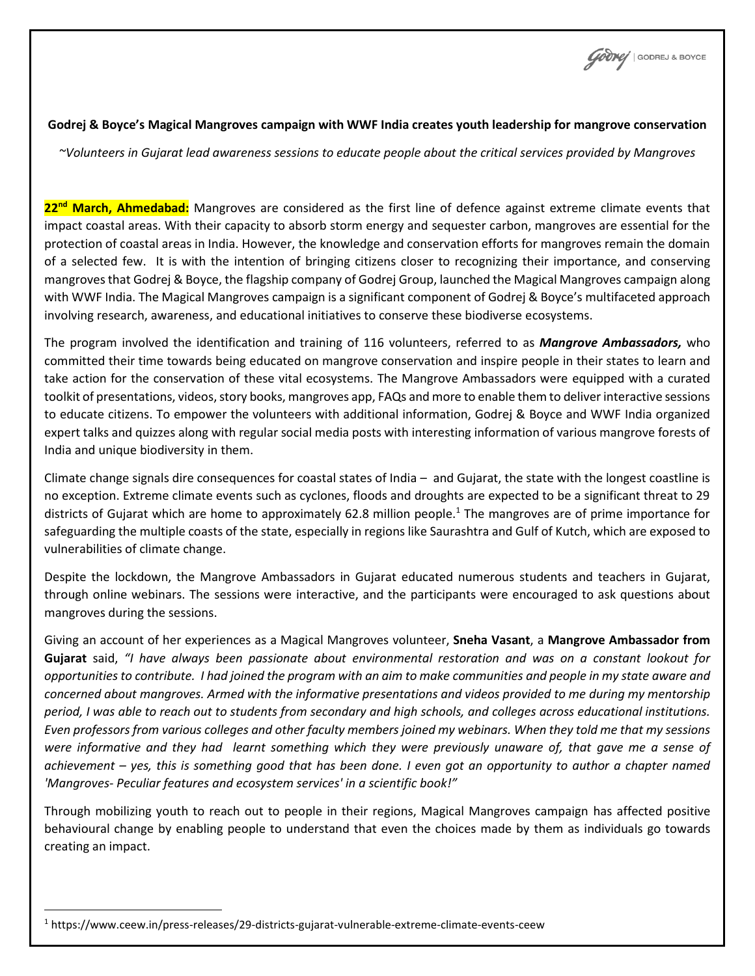GOONG | GODREJ & BOYCE

## **Godrej & Boyce's Magical Mangroves campaign with WWF India creates youth leadership for mangrove conservation**

*~Volunteers in Gujarat lead awareness sessions to educate people about the critical services provided by Mangroves*

**22nd March, Ahmedabad:** Mangroves are considered as the first line of defence against extreme climate events that impact coastal areas. With their capacity to absorb storm energy and sequester carbon, mangroves are essential for the protection of coastal areas in India. However, the knowledge and conservation efforts for mangroves remain the domain of a selected few. It is with the intention of bringing citizens closer to recognizing their importance, and conserving mangrovesthat Godrej & Boyce, the flagship company of Godrej Group, launched the Magical Mangroves campaign along with WWF India. The Magical Mangroves campaign is a significant component of Godrej & Boyce's multifaceted approach involving research, awareness, and educational initiatives to conserve these biodiverse ecosystems.

The program involved the identification and training of 116 volunteers, referred to as *Mangrove Ambassadors,* who committed their time towards being educated on mangrove conservation and inspire people in their states to learn and take action for the conservation of these vital ecosystems. The Mangrove Ambassadors were equipped with a curated toolkit of presentations, videos, story books, mangroves app, FAQs and more to enable them to deliver interactive sessions to educate citizens. To empower the volunteers with additional information, Godrej & Boyce and WWF India organized expert talks and quizzes along with regular social media posts with interesting information of various mangrove forests of India and unique biodiversity in them.

Climate change signals dire consequences for coastal states of India – and Gujarat, the state with the longest coastline is no exception. Extreme climate events such as cyclones, floods and droughts are expected to be a significant threat to 29 districts of Gujarat which are home to approximately 62.8 million people.<sup>1</sup> The mangroves are of prime importance for safeguarding the multiple coasts of the state, especially in regions like Saurashtra and Gulf of Kutch, which are exposed to vulnerabilities of climate change.

Despite the lockdown, the Mangrove Ambassadors in Gujarat educated numerous students and teachers in Gujarat, through online webinars. The sessions were interactive, and the participants were encouraged to ask questions about mangroves during the sessions.

Giving an account of her experiences as a Magical Mangroves volunteer, **Sneha Vasant**, a **Mangrove Ambassador from Gujarat** said, *"I have always been passionate about environmental restoration and was on a constant lookout for opportunities to contribute. I had joined the program with an aim to make communities and people in my state aware and concerned about mangroves. Armed with the informative presentations and videos provided to me during my mentorship period, I was able to reach out to students from secondary and high schools, and colleges across educational institutions. Even professors from various colleges and other faculty members joined my webinars. When they told me that my sessions were informative and they had learnt something which they were previously unaware of, that gave me a sense of achievement – yes, this is something good that has been done. I even got an opportunity to author a chapter named 'Mangroves- Peculiar features and ecosystem services' in a scientific book!"*

Through mobilizing youth to reach out to people in their regions, Magical Mangroves campaign has affected positive behavioural change by enabling people to understand that even the choices made by them as individuals go towards creating an impact.

<sup>1</sup> https://www.ceew.in/press-releases/29-districts-gujarat-vulnerable-extreme-climate-events-ceew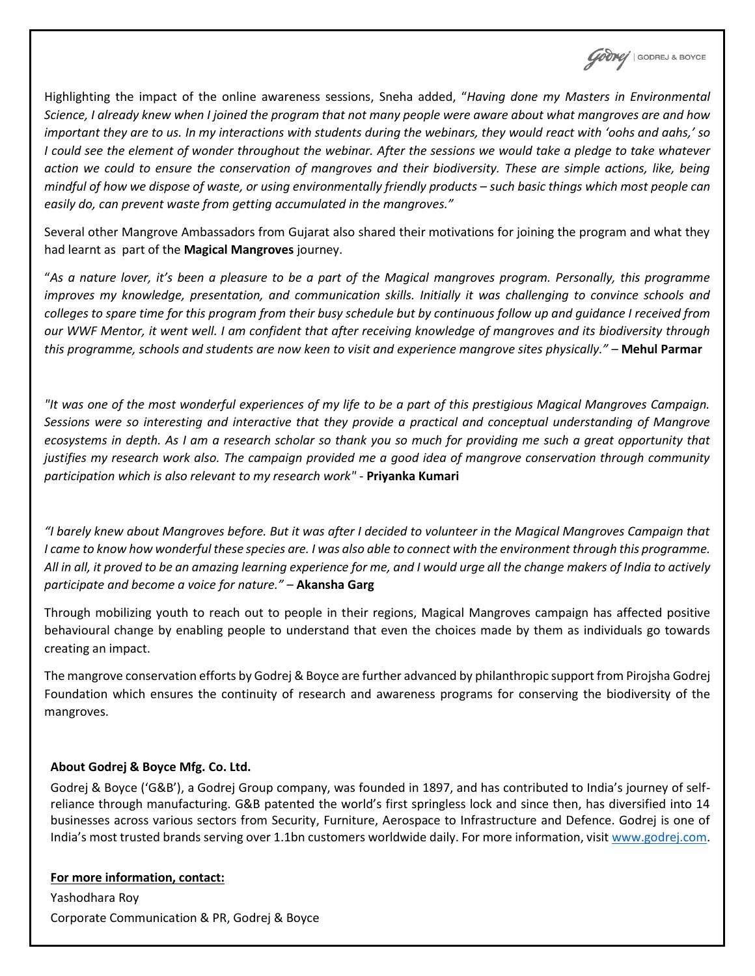**COONY** | GODREJ & BOYCE

Highlighting the impact of the online awareness sessions, Sneha added, "*Having done my Masters in Environmental Science, I already knew when I joined the program that not many people were aware about what mangroves are and how important they are to us. In my interactions with students during the webinars, they would react with 'oohs and aahs,' so I could see the element of wonder throughout the webinar. After the sessions we would take a pledge to take whatever action we could to ensure the conservation of mangroves and their biodiversity. These are simple actions, like, being mindful of how we dispose of waste, or using environmentally friendly products – such basic things which most people can easily do, can prevent waste from getting accumulated in the mangroves."*

Several other Mangrove Ambassadors from Gujarat also shared their motivations for joining the program and what they had learnt as part of the **Magical Mangroves** journey.

"As a nature lover, it's been a pleasure to be a part of the Magical mangroves program. Personally, this programme *improves my knowledge, presentation, and communication skills. Initially it was challenging to convince schools and colleges to spare time for this program from their busy schedule but by continuous follow up and guidance I received from our WWF Mentor, it went well. I am confident that after receiving knowledge of mangroves and its biodiversity through this programme, schools and students are now keen to visit and experience mangrove sites physically."* – **Mehul Parmar**

*"It was one of the most wonderful experiences of my life to be a part of this prestigious Magical Mangroves Campaign. Sessions were so interesting and interactive that they provide a practical and conceptual understanding of Mangrove ecosystems in depth. As I am a research scholar so thank you so much for providing me such a great opportunity that justifies my research work also. The campaign provided me a good idea of mangrove conservation through community participation which is also relevant to my research work"* - **Priyanka Kumari**

*"I barely knew about Mangroves before. But it was after I decided to volunteer in the Magical Mangroves Campaign that I* came to know how wonderful these species are. I was also able to connect with the environment through this programme. *All in all, it proved to be an amazing learning experience for me, and I would urge all the change makers of India to actively participate and become a voice for nature."* – **Akansha Garg**

Through mobilizing youth to reach out to people in their regions, Magical Mangroves campaign has affected positive behavioural change by enabling people to understand that even the choices made by them as individuals go towards creating an impact.

The mangrove conservation efforts by Godrej & Boyce are further advanced by philanthropic support from Pirojsha Godrej Foundation which ensures the continuity of research and awareness programs for conserving the biodiversity of the mangroves.

## **About Godrej & Boyce Mfg. Co. Ltd.**

Godrej & Boyce ('G&B'), a Godrej Group company, was founded in 1897, and has contributed to India's journey of selfreliance through manufacturing. G&B patented the world's first springless lock and since then, has diversified into 14 businesses across various sectors from Security, Furniture, Aerospace to Infrastructure and Defence. Godrej is one of India's most trusted brands serving over 1.1bn customers worldwide daily. For more information, visit [www.godrej.com.](http://www.godrej.com/)

## **For more information, contact:**

Yashodhara Roy Corporate Communication & PR, Godrej & Boyce